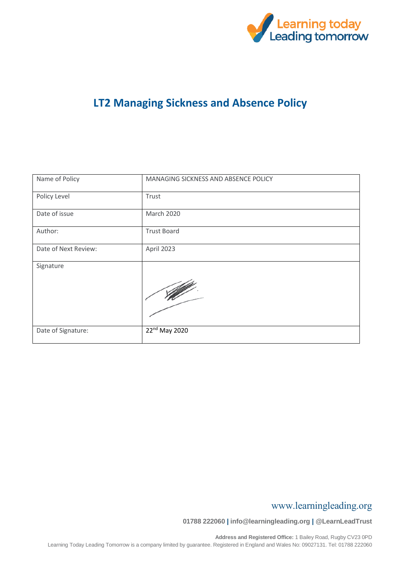

## **LT2 Managing Sickness and Absence Policy**

| Name of Policy       | MANAGING SICKNESS AND ABSENCE POLICY |
|----------------------|--------------------------------------|
| Policy Level         | Trust                                |
| Date of issue        | <b>March 2020</b>                    |
| Author:              | <b>Trust Board</b>                   |
| Date of Next Review: | April 2023                           |
| Signature            |                                      |
| Date of Signature:   | 22 <sup>nd</sup> May 2020            |

### www.learningleading.org

**01788 222060 | info@learningleading.org | @LearnLeadTrust**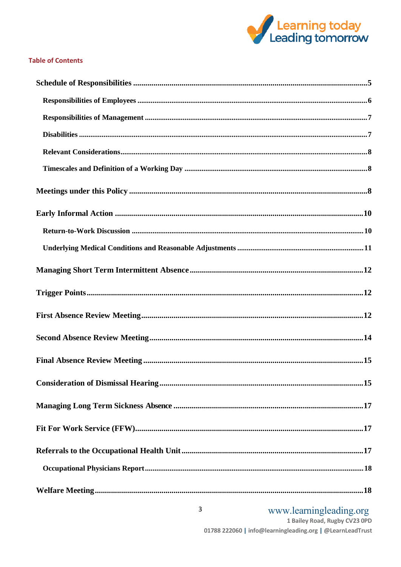

#### **Table of Contents**

# www.learningleading.org<br>1 Bailey Road, Rugby CV23 OPD

01788 222060 | info@learningleading.org | @LearnLeadTrust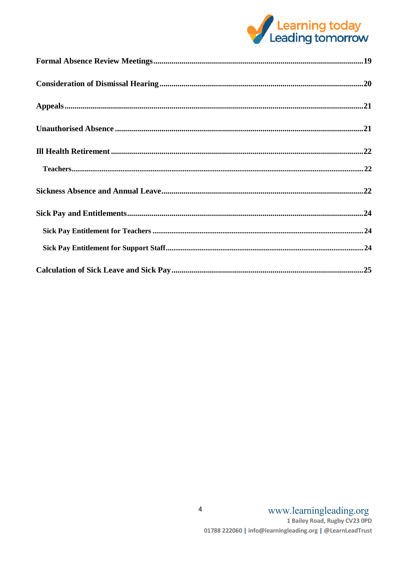

| $\label{eq:1} \textbf{Teaches.} \textbf{} \textbf{} \textbf{} \textbf{} \textbf{} \textbf{} \textbf{} \textbf{} \textbf{} \textbf{} \textbf{} \textbf{} \textbf{} \textbf{} \textbf{} \textbf{} \textbf{} \textbf{} \textbf{} \textbf{} \textbf{} \textbf{} \textbf{} \textbf{} \textbf{} \textbf{} \textbf{} \textbf{} \textbf{} \textbf{} \textbf{} \textbf{} \textbf{} \textbf{} \$ |  |
|----------------------------------------------------------------------------------------------------------------------------------------------------------------------------------------------------------------------------------------------------------------------------------------------------------------------------------------------------------------------------------------|--|
|                                                                                                                                                                                                                                                                                                                                                                                        |  |
|                                                                                                                                                                                                                                                                                                                                                                                        |  |
|                                                                                                                                                                                                                                                                                                                                                                                        |  |
|                                                                                                                                                                                                                                                                                                                                                                                        |  |
|                                                                                                                                                                                                                                                                                                                                                                                        |  |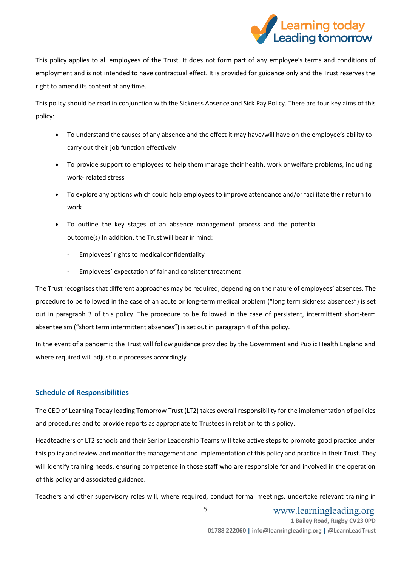

This policy applies to all employees of the Trust. It does not form part of any employee's terms and conditions of employment and is not intended to have contractual effect. It is provided for guidance only and the Trust reserves the right to amend its content at any time.

This policy should be read in conjunction with the Sickness Absence and Sick Pay Policy. There are four key aims of this policy:

- To understand the causes of any absence and the effect it may have/will have on the employee's ability to carry out their job function effectively
- To provide support to employees to help them manage their health, work or welfare problems, including work- related stress
- To explore any options which could help employees to improve attendance and/or facilitate their return to work
- To outline the key stages of an absence management process and the potential outcome(s) In addition, the Trust will bear in mind:
	- Employees' rights to medical confidentiality
	- Employees' expectation of fair and consistent treatment

The Trust recognises that different approaches may be required, depending on the nature of employees' absences. The procedure to be followed in the case of an acute or long-term medical problem ("long term sickness absences") is set out in paragraph 3 of this policy. The procedure to be followed in the case of persistent, intermittent short-term absenteeism ("short term intermittent absences") is set out in paragraph 4 of this policy.

In the event of a pandemic the Trust will follow guidance provided by the Government and Public Health England and where required will adjust our processes accordingly

#### <span id="page-3-0"></span>**Schedule of Responsibilities**

The CEO of Learning Today leading Tomorrow Trust (LT2) takes overall responsibility for the implementation of policies and procedures and to provide reports as appropriate to Trustees in relation to this policy.

Headteachers of LT2 schools and their Senior Leadership Teams will take active steps to promote good practice under this policy and review and monitor the management and implementation of this policy and practice in their Trust. They will identify training needs, ensuring competence in those staff who are responsible for and involved in the operation of this policy and associated guidance.

Teachers and other supervisory roles will, where required, conduct formal meetings, undertake relevant training in

 www.learningleading.org **1 Bailey Road, Rugby CV23 0PD 01788 222060 | info@learningleading.org | @LearnLeadTrust** 5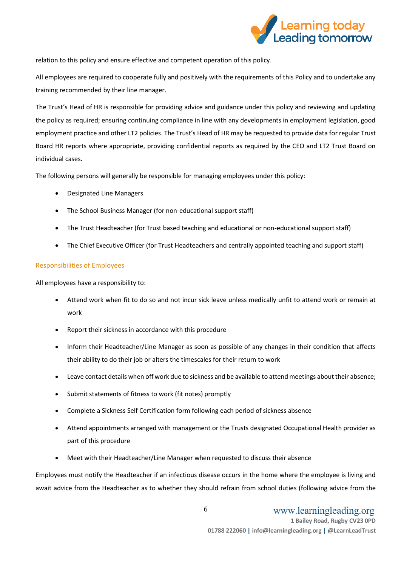

relation to this policy and ensure effective and competent operation of this policy.

All employees are required to cooperate fully and positively with the requirements of this Policy and to undertake any training recommended by their line manager.

The Trust's Head of HR is responsible for providing advice and guidance under this policy and reviewing and updating the policy as required; ensuring continuing compliance in line with any developments in employment legislation, good employment practice and other LT2 policies. The Trust's Head of HR may be requested to provide data for regular Trust Board HR reports where appropriate, providing confidential reports as required by the CEO and LT2 Trust Board on individual cases.

The following persons will generally be responsible for managing employees under this policy:

- Designated Line Managers
- The School Business Manager (for non-educational support staff)
- The Trust Headteacher (for Trust based teaching and educational or non-educational support staff)
- The Chief Executive Officer (for Trust Headteachers and centrally appointed teaching and support staff)

#### <span id="page-4-0"></span>Responsibilities of Employees

All employees have a responsibility to:

- Attend work when fit to do so and not incur sick leave unless medically unfit to attend work or remain at work
- Report their sickness in accordance with this procedure
- Inform their Headteacher/Line Manager as soon as possible of any changes in their condition that affects their ability to do their job or alters the timescales for their return to work
- Leave contact details when off work due to sickness and be available to attend meetings about their absence;
- Submit statements of fitness to work (fit notes) promptly
- Complete a Sickness Self Certification form following each period of sickness absence
- Attend appointments arranged with management or the Trusts designated Occupational Health provider as part of this procedure
- Meet with their Headteacher/Line Manager when requested to discuss their absence

Employees must notify the Headteacher if an infectious disease occurs in the home where the employee is living and await advice from the Headteacher as to whether they should refrain from school duties (following advice from the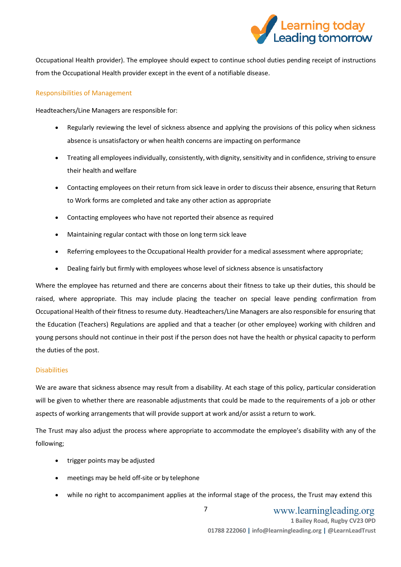

Occupational Health provider). The employee should expect to continue school duties pending receipt of instructions from the Occupational Health provider except in the event of a notifiable disease.

#### <span id="page-5-0"></span>Responsibilities of Management

Headteachers/Line Managers are responsible for:

- Regularly reviewing the level of sickness absence and applying the provisions of this policy when sickness absence is unsatisfactory or when health concerns are impacting on performance
- Treating all employees individually, consistently, with dignity, sensitivity and in confidence, striving to ensure their health and welfare
- Contacting employees on their return from sick leave in order to discuss their absence, ensuring that Return to Work forms are completed and take any other action as appropriate
- Contacting employees who have not reported their absence as required
- Maintaining regular contact with those on long term sick leave
- Referring employees to the Occupational Health provider for a medical assessment where appropriate;
- Dealing fairly but firmly with employees whose level of sickness absence is unsatisfactory

Where the employee has returned and there are concerns about their fitness to take up their duties, this should be raised, where appropriate. This may include placing the teacher on special leave pending confirmation from Occupational Health of their fitness to resume duty. Headteachers/Line Managers are also responsible for ensuring that the Education (Teachers) Regulations are applied and that a teacher (or other employee) working with children and young persons should not continue in their post if the person does not have the health or physical capacity to perform the duties of the post.

#### <span id="page-5-1"></span>**Disabilities**

We are aware that sickness absence may result from a disability. At each stage of this policy, particular consideration will be given to whether there are reasonable adjustments that could be made to the requirements of a job or other aspects of working arrangements that will provide support at work and/or assist a return to work.

The Trust may also adjust the process where appropriate to accommodate the employee's disability with any of the following;

- trigger points may be adjusted
- meetings may be held off-site or by telephone
- while no right to accompaniment applies at the informal stage of the process, the Trust may extend this

7

 www.learningleading.org **1 Bailey Road, Rugby CV23 0PD 01788 222060 | info@learningleading.org | @LearnLeadTrust**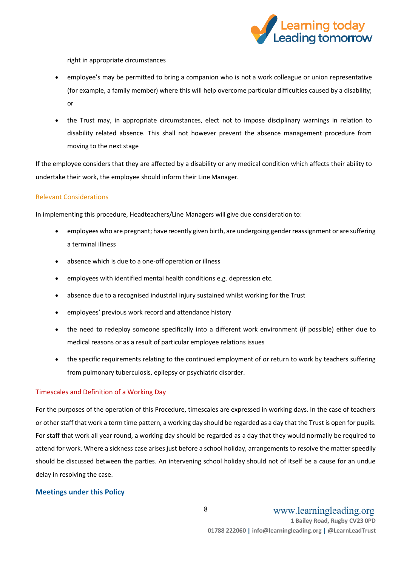

right in appropriate circumstances

- employee's may be permitted to bring a companion who is not a work colleague or union representative (for example, a family member) where this will help overcome particular difficulties caused by a disability; or
- the Trust may, in appropriate circumstances, elect not to impose disciplinary warnings in relation to disability related absence. This shall not however prevent the absence management procedure from moving to the next stage

If the employee considers that they are affected by a disability or any medical condition which affects their ability to undertake their work, the employee should inform their Line Manager.

#### <span id="page-6-0"></span>Relevant Considerations

In implementing this procedure, Headteachers/Line Managers will give due consideration to:

- employees who are pregnant; have recently given birth, are undergoing gender reassignment or are suffering a terminal illness
- absence which is due to a one-off operation or illness
- employees with identified mental health conditions e.g. depression etc.
- absence due to a recognised industrial injury sustained whilst working for the Trust
- employees' previous work record and attendance history
- the need to redeploy someone specifically into a different work environment (if possible) either due to medical reasons or as a result of particular employee relations issues
- the specific requirements relating to the continued employment of or return to work by teachers suffering from pulmonary tuberculosis, epilepsy or psychiatric disorder.

#### <span id="page-6-1"></span>Timescales and Definition of a Working Day

For the purposes of the operation of this Procedure, timescales are expressed in working days. In the case of teachers or other staff that work a term time pattern, a working day should be regarded as a day that the Trust is open for pupils. For staff that work all year round, a working day should be regarded as a day that they would normally be required to attend for work. Where a sickness case arises just before a school holiday, arrangements to resolve the matter speedily should be discussed between the parties. An intervening school holiday should not of itself be a cause for an undue delay in resolving the case.

#### <span id="page-6-2"></span>**Meetings under this Policy**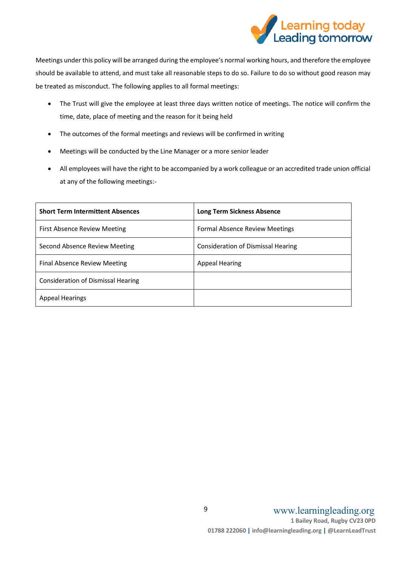

Meetings under this policy will be arranged during the employee's normal working hours, and therefore the employee should be available to attend, and must take all reasonable steps to do so. Failure to do so without good reason may be treated as misconduct. The following applies to all formal meetings:

- The Trust will give the employee at least three days written notice of meetings. The notice will confirm the time, date, place of meeting and the reason for it being held
- The outcomes of the formal meetings and reviews will be confirmed in writing
- Meetings will be conducted by the Line Manager or a more senior leader
- All employees will have the right to be accompanied by a work colleague or an accredited trade union official at any of the following meetings:-

| <b>Short Term Intermittent Absences</b> | <b>Long Term Sickness Absence</b>     |
|-----------------------------------------|---------------------------------------|
| First Absence Review Meeting            | <b>Formal Absence Review Meetings</b> |
| Second Absence Review Meeting           | Consideration of Dismissal Hearing    |
| Final Absence Review Meeting            | <b>Appeal Hearing</b>                 |
| Consideration of Dismissal Hearing      |                                       |
| <b>Appeal Hearings</b>                  |                                       |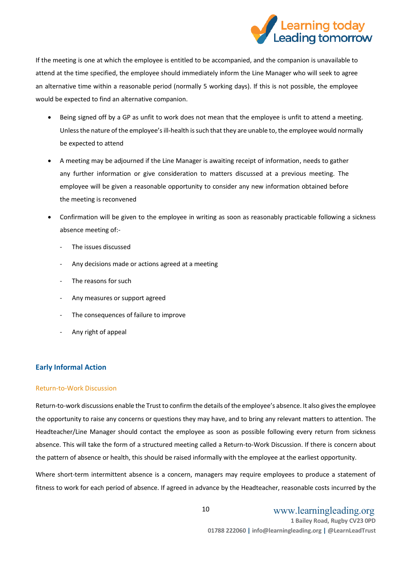

If the meeting is one at which the employee is entitled to be accompanied, and the companion is unavailable to attend at the time specified, the employee should immediately inform the Line Manager who will seek to agree an alternative time within a reasonable period (normally 5 working days). If this is not possible, the employee would be expected to find an alternative companion.

- Being signed off by a GP as unfit to work does not mean that the employee is unfit to attend a meeting. Unless the nature of the employee'sill-health is such that they are unable to, the employee would normally be expected to attend
- A meeting may be adjourned if the Line Manager is awaiting receipt of information, needs to gather any further information or give consideration to matters discussed at a previous meeting. The employee will be given a reasonable opportunity to consider any new information obtained before the meeting is reconvened
- Confirmation will be given to the employee in writing as soon as reasonably practicable following a sickness absence meeting of:-
	- The issues discussed
	- Any decisions made or actions agreed at a meeting
	- The reasons for such
	- Any measures or support agreed
	- The consequences of failure to improve
	- Any right of appeal

#### <span id="page-8-0"></span>**Early Informal Action**

#### <span id="page-8-1"></span>Return-to-Work Discussion

Return-to-work discussions enable the Trust to confirm the details of the employee's absence. It also gives the employee the opportunity to raise any concerns or questions they may have, and to bring any relevant matters to attention. The Headteacher/Line Manager should contact the employee as soon as possible following every return from sickness absence. This will take the form of a structured meeting called a Return-to-Work Discussion. If there is concern about the pattern of absence or health, this should be raised informally with the employee at the earliest opportunity.

Where short-term intermittent absence is a concern, managers may require employees to produce a statement of fitness to work for each period of absence. If agreed in advance by the Headteacher, reasonable costs incurred by the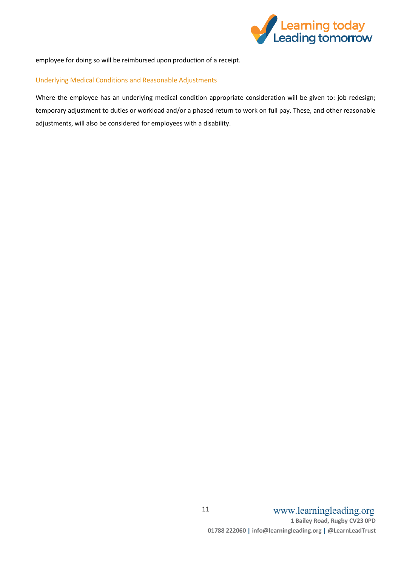

employee for doing so will be reimbursed upon production of a receipt.

#### <span id="page-9-0"></span>Underlying Medical Conditions and Reasonable Adjustments

Where the employee has an underlying medical condition appropriate consideration will be given to: job redesign; temporary adjustment to duties or workload and/or a phased return to work on full pay. These, and other reasonable adjustments, will also be considered for employees with a disability.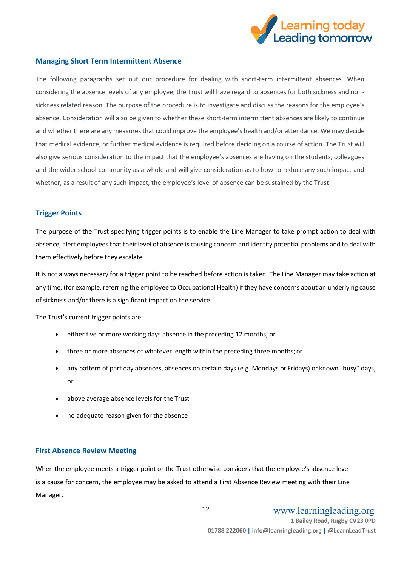

#### <span id="page-10-0"></span>**Managing Short Term Intermittent Absence**

The following paragraphs set out our procedure for dealing with short-term intermittent absences. When considering the absence levels of any employee, the Trust will have regard to absences for both sickness and nonsickness related reason. The purpose of the procedure is to investigate and discuss the reasons for the employee's absence. Consideration will also be given to whether these short-term intermittent absences are likely to continue and whether there are any measures that could improve the employee's health and/or attendance. We may decide that medical evidence, or further medical evidence is required before deciding on a course of action. The Trust will also give serious consideration to the impact that the employee's absences are having on the students, colleagues and the wider school community as a whole and will give consideration as to how to reduce any such impact and whether, as a result of any such impact, the employee's level of absence can be sustained by the Trust.

#### <span id="page-10-1"></span>**Trigger Points**

The purpose of the Trust specifying trigger points is to enable the Line Manager to take prompt action to deal with absence, alert employees that their level of absence is causing concern and identify potential problems and to deal with them effectively before they escalate.

It is not always necessary for a trigger point to be reached before action is taken. The Line Manager may take action at any time, (for example, referring the employee to Occupational Health) if they have concerns about an underlying cause of sickness and/or there is a significant impact on the service.

The Trust's current trigger points are:

- either five or more working days absence in the preceding 12 months; or
- three or more absences of whatever length within the preceding three months; or
- any pattern of part day absences, absences on certain days (e.g. Mondays or Fridays) or known "busy" days; or
- above average absence levels for the Trust
- no adequate reason given for the absence

#### <span id="page-10-2"></span>**First Absence Review Meeting**

When the employee meets a trigger point or the Trust otherwise considers that the employee's absence level is a cause for concern, the employee may be asked to attend a First Absence Review meeting with their Line Manager.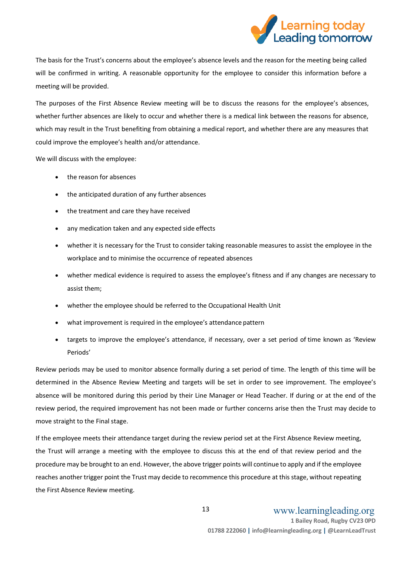

The basis for the Trust's concerns about the employee's absence levels and the reason for the meeting being called will be confirmed in writing. A reasonable opportunity for the employee to consider this information before a meeting will be provided.

The purposes of the First Absence Review meeting will be to discuss the reasons for the employee's absences, whether further absences are likely to occur and whether there is a medical link between the reasons for absence, which may result in the Trust benefiting from obtaining a medical report, and whether there are any measures that could improve the employee's health and/or attendance.

We will discuss with the employee:

- the reason for absences
- the anticipated duration of any further absences
- the treatment and care they have received
- any medication taken and any expected side effects
- whether it is necessary for the Trust to consider taking reasonable measures to assist the employee in the workplace and to minimise the occurrence of repeated absences
- whether medical evidence is required to assess the employee's fitness and if any changes are necessary to assist them;
- whether the employee should be referred to the Occupational Health Unit
- what improvement is required in the employee's attendance pattern
- targets to improve the employee's attendance, if necessary, over a set period of time known as 'Review Periods'

Review periods may be used to monitor absence formally during a set period of time. The length of this time will be determined in the Absence Review Meeting and targets will be set in order to see improvement. The employee's absence will be monitored during this period by their Line Manager or Head Teacher. If during or at the end of the review period, the required improvement has not been made or further concerns arise then the Trust may decide to move straight to the Final stage.

If the employee meets their attendance target during the review period set at the First Absence Review meeting, the Trust will arrange a meeting with the employee to discuss this at the end of that review period and the procedure may be brought to an end. However, the above trigger points will continue to apply and if the employee reaches another trigger point the Trust may decide to recommence this procedure at this stage, without repeating the First Absence Review meeting.

13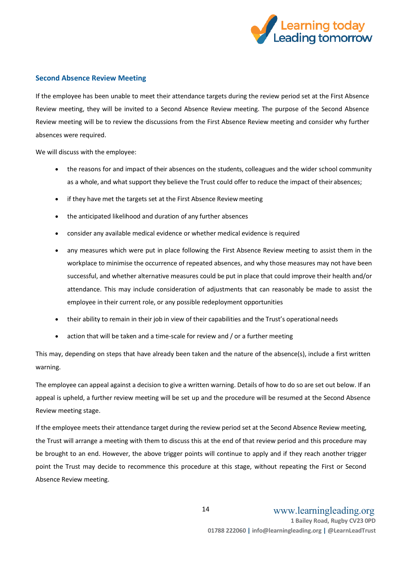

#### <span id="page-12-0"></span>**Second Absence Review Meeting**

If the employee has been unable to meet their attendance targets during the review period set at the First Absence Review meeting, they will be invited to a Second Absence Review meeting. The purpose of the Second Absence Review meeting will be to review the discussions from the First Absence Review meeting and consider why further absences were required.

We will discuss with the employee:

- the reasons for and impact of their absences on the students, colleagues and the wider school community as a whole, and what support they believe the Trust could offer to reduce the impact of their absences;
- if they have met the targets set at the First Absence Review meeting
- the anticipated likelihood and duration of any further absences
- consider any available medical evidence or whether medical evidence is required
- any measures which were put in place following the First Absence Review meeting to assist them in the workplace to minimise the occurrence of repeated absences, and why those measures may not have been successful, and whether alternative measures could be put in place that could improve their health and/or attendance. This may include consideration of adjustments that can reasonably be made to assist the employee in their current role, or any possible redeployment opportunities
- their ability to remain in their job in view of their capabilities and the Trust's operational needs
- action that will be taken and a time-scale for review and / or a further meeting

This may, depending on steps that have already been taken and the nature of the absence(s), include a first written warning.

The employee can appeal against a decision to give a written warning. Details of how to do so are set out below. If an appeal is upheld, a further review meeting will be set up and the procedure will be resumed at the Second Absence Review meeting stage.

If the employee meets their attendance target during the review period set at the Second Absence Review meeting, the Trust will arrange a meeting with them to discuss this at the end of that review period and this procedure may be brought to an end. However, the above trigger points will continue to apply and if they reach another trigger point the Trust may decide to recommence this procedure at this stage, without repeating the First or Second Absence Review meeting.

14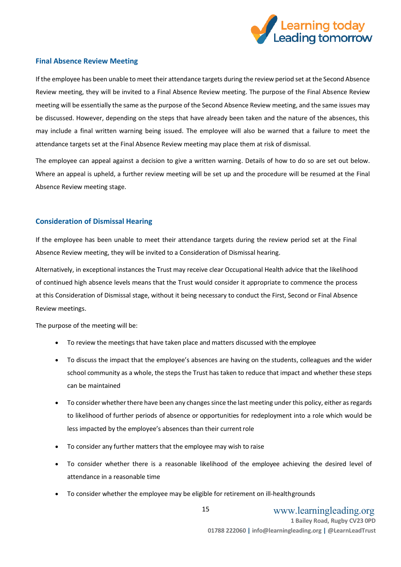

#### <span id="page-13-0"></span>**Final Absence Review Meeting**

If the employee has been unable to meet their attendance targets during the review period set at the Second Absence Review meeting, they will be invited to a Final Absence Review meeting. The purpose of the Final Absence Review meeting will be essentially the same as the purpose of the Second Absence Review meeting, and the same issues may be discussed. However, depending on the steps that have already been taken and the nature of the absences, this may include a final written warning being issued. The employee will also be warned that a failure to meet the attendance targets set at the Final Absence Review meeting may place them at risk of dismissal.

The employee can appeal against a decision to give a written warning. Details of how to do so are set out below. Where an appeal is upheld, a further review meeting will be set up and the procedure will be resumed at the Final Absence Review meeting stage.

#### <span id="page-13-1"></span>**Consideration of Dismissal Hearing**

If the employee has been unable to meet their attendance targets during the review period set at the Final Absence Review meeting, they will be invited to a Consideration of Dismissal hearing.

Alternatively, in exceptional instances the Trust may receive clear Occupational Health advice that the likelihood of continued high absence levels means that the Trust would consider it appropriate to commence the process at this Consideration of Dismissal stage, without it being necessary to conduct the First, Second or Final Absence Review meetings.

The purpose of the meeting will be:

- To review the meetings that have taken place and matters discussed with the employee
- To discuss the impact that the employee's absences are having on the students, colleagues and the wider school community as a whole, the steps the Trust has taken to reduce that impact and whether these steps can be maintained
- To consider whether there have been any changes since the last meeting under this policy, either as regards to likelihood of further periods of absence or opportunities for redeployment into a role which would be less impacted by the employee's absences than their current role
- To consider any further matters that the employee may wish to raise
- To consider whether there is a reasonable likelihood of the employee achieving the desired level of attendance in a reasonable time
- To consider whether the employee may be eligible for retirement on ill-healthgrounds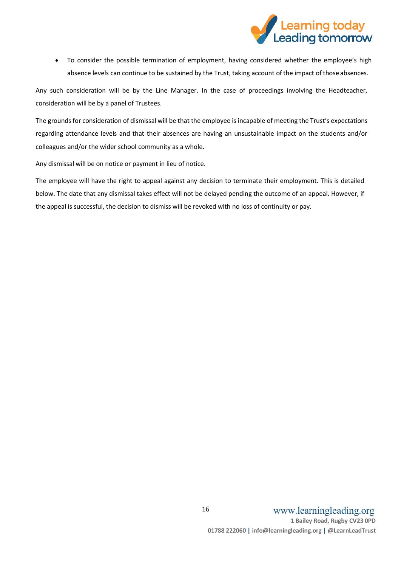

 To consider the possible termination of employment, having considered whether the employee's high absence levels can continue to be sustained by the Trust, taking account of the impact of those absences.

Any such consideration will be by the Line Manager. In the case of proceedings involving the Headteacher, consideration will be by a panel of Trustees.

The grounds for consideration of dismissal will be that the employee is incapable of meeting the Trust's expectations regarding attendance levels and that their absences are having an unsustainable impact on the students and/or colleagues and/or the wider school community as a whole.

Any dismissal will be on notice or payment in lieu of notice.

The employee will have the right to appeal against any decision to terminate their employment. This is detailed below. The date that any dismissal takes effect will not be delayed pending the outcome of an appeal. However, if the appeal is successful, the decision to dismiss will be revoked with no loss of continuity or pay.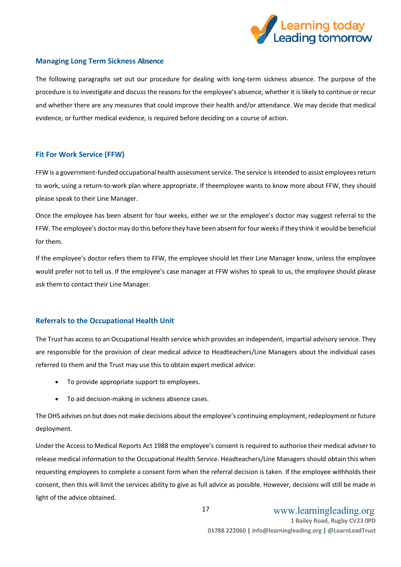

#### <span id="page-15-0"></span>**Managing Long Term Sickness Absence**

The following paragraphs set out our procedure for dealing with long-term sickness absence. The purpose of the procedure is to investigate and discuss the reasons for the employee's absence, whether it is likely to continue or recur and whether there are any measures that could improve their health and/or attendance. We may decide that medical evidence, or further medical evidence, is required before deciding on a course of action.

#### <span id="page-15-1"></span>**Fit For Work Service (FFW)**

FFW is a government-funded occupational health assessment service. The service is intended to assist employees return to work, using a return-to-work plan where appropriate. If theemployee wants to know more about FFW, they should please speak to their Line Manager.

Once the employee has been absent for four weeks, either we or the employee's doctor may suggest referral to the FFW. The employee's doctor may do this before they have been absent for four weeks if they think it would be beneficial for them.

If the employee's doctor refers them to FFW, the employee should let their Line Manager know, unless the employee would prefer not to tell us. If the employee's case manager at FFW wishes to speak to us, the employee should please ask them to contact their Line Manager.

#### <span id="page-15-2"></span>**Referrals to the Occupational Health Unit**

The Trust has access to an Occupational Health service which provides an independent, impartial advisory service. They are responsible for the provision of clear medical advice to Headteachers/Line Managers about the individual cases referred to them and the Trust may use this to obtain expert medical advice:

- To provide appropriate support to employees.
- To aid decision-making in sickness absence cases.

The OHS advises on but does not make decisions about the employee's continuing employment, redeployment or future deployment.

Under the Access to Medical Reports Act 1988 the employee's consent is required to authorise their medical adviser to release medical information to the Occupational Health Service. Headteachers/Line Managers should obtain this when requesting employees to complete a consent form when the referral decision is taken. If the employee withholds their consent, then this will limit the services ability to give as full advice as possible. However, decisions will still be made in light of the advice obtained.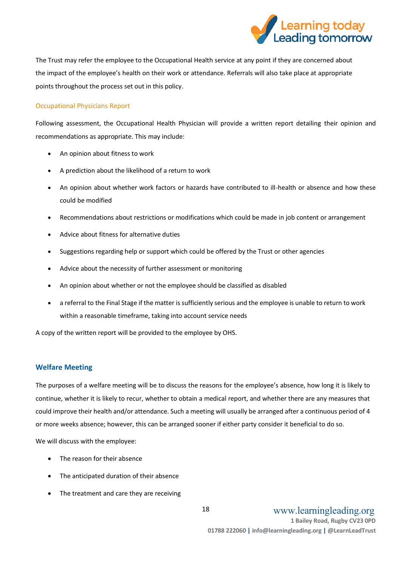

The Trust may refer the employee to the Occupational Health service at any point if they are concerned about the impact of the employee's health on their work or attendance. Referrals will also take place at appropriate points throughout the process set out in this policy.

#### <span id="page-16-0"></span>Occupational Physicians Report

Following assessment, the Occupational Health Physician will provide a written report detailing their opinion and recommendations as appropriate. This may include:

- An opinion about fitness to work
- A prediction about the likelihood of a return to work
- An opinion about whether work factors or hazards have contributed to ill-health or absence and how these could be modified
- Recommendations about restrictions or modifications which could be made in job content or arrangement
- Advice about fitness for alternative duties
- Suggestions regarding help or support which could be offered by the Trust or other agencies
- Advice about the necessity of further assessment or monitoring
- An opinion about whether or not the employee should be classified as disabled
- a referral to the Final Stage if the matter is sufficiently serious and the employee is unable to return to work within a reasonable timeframe, taking into account service needs

A copy of the written report will be provided to the employee by OHS.

#### <span id="page-16-1"></span>**Welfare Meeting**

The purposes of a welfare meeting will be to discuss the reasons for the employee's absence, how long it is likely to continue, whether it is likely to recur, whether to obtain a medical report, and whether there are any measures that could improve their health and/or attendance. Such a meeting will usually be arranged after a continuous period of 4 or more weeks absence; however, this can be arranged sooner if either party consider it beneficial to do so.

We will discuss with the employee:

- The reason for their absence
- The anticipated duration of their absence
- The treatment and care they are receiving

www.learningleading.org

**1 Bailey Road, Rugby CV23 0PD 01788 222060 | info@learningleading.org | @LearnLeadTrust**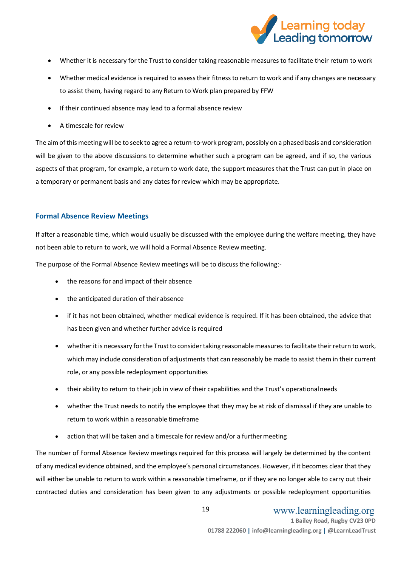

- Whether it is necessary for the Trust to consider taking reasonable measures to facilitate their return to work
- Whether medical evidence is required to assess their fitness to return to work and if any changes are necessary to assist them, having regard to any Return to Work plan prepared by FFW
- If their continued absence may lead to a formal absence review
- A timescale for review

The aim of this meeting will be to seek to agree a return-to-work program, possibly on a phased basis and consideration will be given to the above discussions to determine whether such a program can be agreed, and if so, the various aspects of that program, for example, a return to work date, the support measures that the Trust can put in place on a temporary or permanent basis and any dates for review which may be appropriate.

#### <span id="page-17-0"></span>**Formal Absence Review Meetings**

If after a reasonable time, which would usually be discussed with the employee during the welfare meeting, they have not been able to return to work, we will hold a Formal Absence Review meeting.

The purpose of the Formal Absence Review meetings will be to discuss the following:-

- the reasons for and impact of their absence
- the anticipated duration of their absence
- if it has not been obtained, whether medical evidence is required. If it has been obtained, the advice that has been given and whether further advice is required
- whether it is necessary for the Trust to consider taking reasonable measures to facilitate their return to work, which may include consideration of adjustments that can reasonably be made to assist them in their current role, or any possible redeployment opportunities
- their ability to return to their job in view of their capabilities and the Trust's operationalneeds
- whether the Trust needs to notify the employee that they may be at risk of dismissal if they are unable to return to work within a reasonable timeframe
- action that will be taken and a timescale for review and/or a furthermeeting

The number of Formal Absence Review meetings required for this process will largely be determined by the content of any medical evidence obtained, and the employee's personal circumstances. However, if it becomes clear that they will either be unable to return to work within a reasonable timeframe, or if they are no longer able to carry out their contracted duties and consideration has been given to any adjustments or possible redeployment opportunities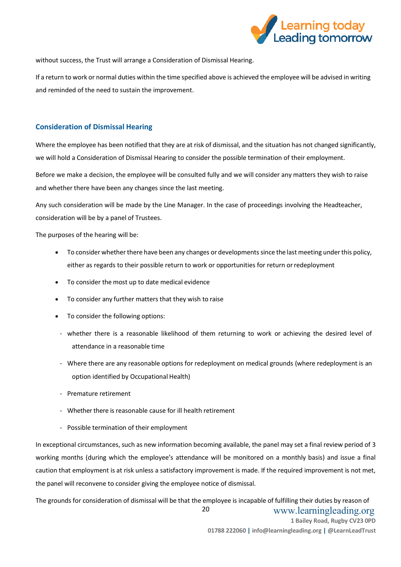

without success, the Trust will arrange a Consideration of Dismissal Hearing.

If a return to work or normal duties within the time specified above is achieved the employee will be advised in writing and reminded of the need to sustain the improvement.

#### <span id="page-18-0"></span>**Consideration of Dismissal Hearing**

Where the employee has been notified that they are at risk of dismissal, and the situation has not changed significantly, we will hold a Consideration of Dismissal Hearing to consider the possible termination of their employment.

Before we make a decision, the employee will be consulted fully and we will consider any matters they wish to raise and whether there have been any changes since the last meeting.

Any such consideration will be made by the Line Manager. In the case of proceedings involving the Headteacher, consideration will be by a panel of Trustees.

The purposes of the hearing will be:

- To consider whether there have been any changes or developments since the last meeting under this policy, either as regards to their possible return to work or opportunities for return orredeployment
- To consider the most up to date medical evidence
- To consider any further matters that they wish to raise
- To consider the following options:
- whether there is a reasonable likelihood of them returning to work or achieving the desired level of attendance in a reasonable time
- Where there are any reasonable options for redeployment on medical grounds (where redeployment is an option identified by Occupational Health)
- Premature retirement
- Whether there is reasonable cause for ill health retirement
- Possible termination of their employment

In exceptional circumstances, such as new information becoming available, the panel may set a final review period of 3 working months (during which the employee's attendance will be monitored on a monthly basis) and issue a final caution that employment is at risk unless a satisfactory improvement is made. If the required improvement is not met, the panel will reconvene to consider giving the employee notice of dismissal.

 www.learningleading.org **1 Bailey Road, Rugby CV23 0PD 01788 222060 | info@learningleading.org | @LearnLeadTrust** 20 The grounds for consideration of dismissal will be that the employee is incapable of fulfilling their duties by reason of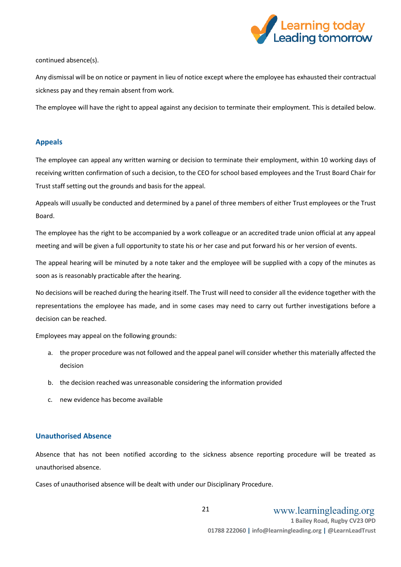

continued absence(s).

Any dismissal will be on notice or payment in lieu of notice except where the employee has exhausted their contractual sickness pay and they remain absent from work.

The employee will have the right to appeal against any decision to terminate their employment. This is detailed below.

#### <span id="page-19-0"></span>**Appeals**

The employee can appeal any written warning or decision to terminate their employment, within 10 working days of receiving written confirmation of such a decision, to the CEO for school based employees and the Trust Board Chair for Trust staff setting out the grounds and basis for the appeal.

Appeals will usually be conducted and determined by a panel of three members of either Trust employees or the Trust Board.

The employee has the right to be accompanied by a work colleague or an accredited trade union official at any appeal meeting and will be given a full opportunity to state his or her case and put forward his or her version of events.

The appeal hearing will be minuted by a note taker and the employee will be supplied with a copy of the minutes as soon as is reasonably practicable after the hearing.

No decisions will be reached during the hearing itself. The Trust will need to consider all the evidence together with the representations the employee has made, and in some cases may need to carry out further investigations before a decision can be reached.

Employees may appeal on the following grounds:

- a. the proper procedure was not followed and the appeal panel will consider whether this materially affected the decision
- b. the decision reached was unreasonable considering the information provided
- c. new evidence has become available

#### <span id="page-19-1"></span>**Unauthorised Absence**

Absence that has not been notified according to the sickness absence reporting procedure will be treated as unauthorised absence.

Cases of unauthorised absence will be dealt with under our Disciplinary Procedure.

 www.learningleading.org **1 Bailey Road, Rugby CV23 0PD 01788 222060 | info@learningleading.org | @LearnLeadTrust** 21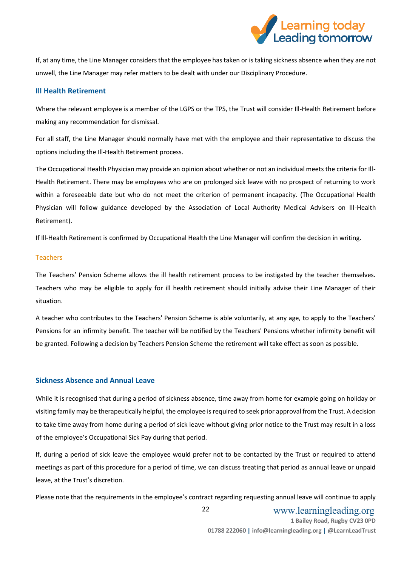

If, at any time, the Line Manager considers that the employee hastaken or istaking sickness absence when they are not unwell, the Line Manager may refer matters to be dealt with under our Disciplinary Procedure.

#### <span id="page-20-0"></span>**Ill Health Retirement**

Where the relevant employee is a member of the LGPS or the TPS, the Trust will consider Ill-Health Retirement before making any recommendation for dismissal.

For all staff, the Line Manager should normally have met with the employee and their representative to discuss the options including the Ill-Health Retirement process.

The Occupational Health Physician may provide an opinion about whether or not an individual meets the criteria for Ill-Health Retirement. There may be employees who are on prolonged sick leave with no prospect of returning to work within a foreseeable date but who do not meet the criterion of permanent incapacity. (The Occupational Health Physician will follow guidance developed by the Association of Local Authority Medical Advisers on Ill-Health Retirement).

If Ill-Health Retirement is confirmed by Occupational Health the Line Manager will confirm the decision in writing.

#### <span id="page-20-1"></span>Teachers

The Teachers' Pension Scheme allows the ill health retirement process to be instigated by the teacher themselves. Teachers who may be eligible to apply for ill health retirement should initially advise their Line Manager of their situation.

A teacher who contributes to the Teachers' Pension Scheme is able voluntarily, at any age, to apply to the Teachers' Pensions for an infirmity benefit. The teacher will be notified by the Teachers' Pensions whether infirmity benefit will be granted. Following a decision by Teachers Pension Scheme the retirement will take effect as soon as possible.

#### <span id="page-20-2"></span>**Sickness Absence and Annual Leave**

While it is recognised that during a period of sickness absence, time away from home for example going on holiday or visiting family may be therapeutically helpful, the employee is required to seek prior approval from the Trust. A decision to take time away from home during a period of sick leave without giving prior notice to the Trust may result in a loss of the employee's Occupational Sick Pay during that period.

If, during a period of sick leave the employee would prefer not to be contacted by the Trust or required to attend meetings as part of this procedure for a period of time, we can discuss treating that period as annual leave or unpaid leave, at the Trust's discretion.

Please note that the requirements in the employee's contract regarding requesting annual leave will continue to apply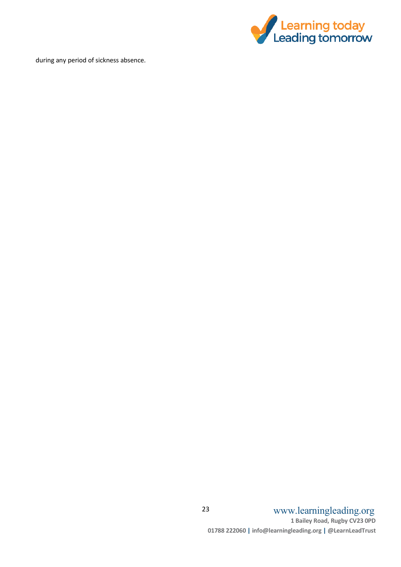

during any period of sickness absence.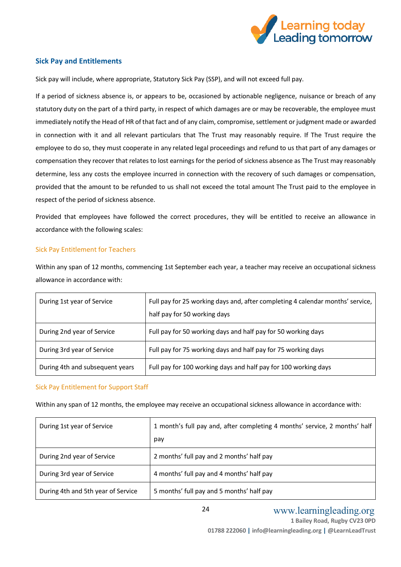

#### <span id="page-22-0"></span>**Sick Pay and Entitlements**

Sick pay will include, where appropriate, Statutory Sick Pay (SSP), and will not exceed full pay.

If a period of sickness absence is, or appears to be, occasioned by actionable negligence, nuisance or breach of any statutory duty on the part of a third party, in respect of which damages are or may be recoverable, the employee must immediately notify the Head of HR of that fact and of any claim, compromise, settlement or judgment made or awarded in connection with it and all relevant particulars that The Trust may reasonably require. If The Trust require the employee to do so, they must cooperate in any related legal proceedings and refund to us that part of any damages or compensation they recover that relates to lost earnings for the period of sickness absence as The Trust may reasonably determine, less any costs the employee incurred in connection with the recovery of such damages or compensation, provided that the amount to be refunded to us shall not exceed the total amount The Trust paid to the employee in respect of the period of sickness absence.

Provided that employees have followed the correct procedures, they will be entitled to receive an allowance in accordance with the following scales:

#### <span id="page-22-1"></span>Sick Pay Entitlement for Teachers

Within any span of 12 months, commencing 1st September each year, a teacher may receive an occupational sickness allowance in accordance with:

| During 1st year of Service      | Full pay for 25 working days and, after completing 4 calendar months' service,  <br>half pay for 50 working days |
|---------------------------------|------------------------------------------------------------------------------------------------------------------|
| During 2nd year of Service      | Full pay for 50 working days and half pay for 50 working days                                                    |
| During 3rd year of Service      | Full pay for 75 working days and half pay for 75 working days                                                    |
| During 4th and subsequent years | Full pay for 100 working days and half pay for 100 working days                                                  |

#### <span id="page-22-2"></span>Sick Pay Entitlement for Support Staff

Within any span of 12 months, the employee may receive an occupational sickness allowance in accordance with:

| During 1st year of Service         | 1 month's full pay and, after completing 4 months' service, 2 months' half |
|------------------------------------|----------------------------------------------------------------------------|
|                                    | pay                                                                        |
| During 2nd year of Service         | 2 months' full pay and 2 months' half pay                                  |
| During 3rd year of Service         | 4 months' full pay and 4 months' half pay                                  |
| During 4th and 5th year of Service | 5 months' full pay and 5 months' half pay                                  |

24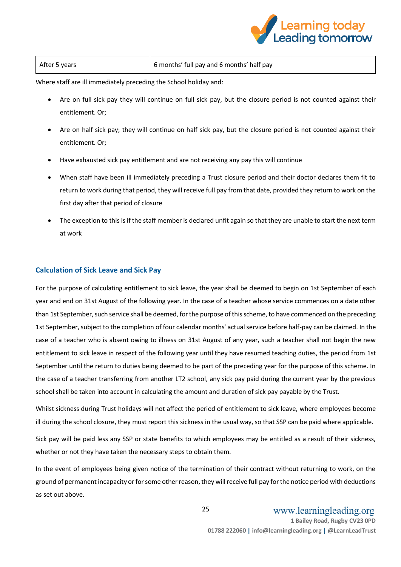

| After 5 years | 6 months' full pay and 6 months' half pay |
|---------------|-------------------------------------------|

Where staff are ill immediately preceding the School holiday and:

- Are on full sick pay they will continue on full sick pay, but the closure period is not counted against their entitlement. Or;
- Are on half sick pay; they will continue on half sick pay, but the closure period is not counted against their entitlement. Or;
- Have exhausted sick pay entitlement and are not receiving any pay this will continue
- When staff have been ill immediately preceding a Trust closure period and their doctor declares them fit to return to work during that period, they will receive full pay from that date, provided they return to work on the first day after that period of closure
- The exception to this is if the staff member is declared unfit again so that they are unable to start the next term at work

#### <span id="page-23-0"></span>**Calculation of Sick Leave and Sick Pay**

For the purpose of calculating entitlement to sick leave, the year shall be deemed to begin on 1st September of each year and end on 31st August of the following year. In the case of a teacher whose service commences on a date other than 1st September, such service shall be deemed, for the purpose of this scheme, to have commenced on the preceding 1st September, subject to the completion of four calendar months' actual service before half-pay can be claimed. In the case of a teacher who is absent owing to illness on 31st August of any year, such a teacher shall not begin the new entitlement to sick leave in respect of the following year until they have resumed teaching duties, the period from 1st September until the return to duties being deemed to be part of the preceding year for the purpose of this scheme. In the case of a teacher transferring from another LT2 school, any sick pay paid during the current year by the previous school shall be taken into account in calculating the amount and duration of sick pay payable by the Trust.

Whilst sickness during Trust holidays will not affect the period of entitlement to sick leave, where employees become ill during the school closure, they must report this sickness in the usual way, so that SSP can be paid where applicable.

Sick pay will be paid less any SSP or state benefits to which employees may be entitled as a result of their sickness, whether or not they have taken the necessary steps to obtain them.

In the event of employees being given notice of the termination of their contract without returning to work, on the ground of permanent incapacity or for some other reason, they will receive full pay for the notice period with deductions as set out above.